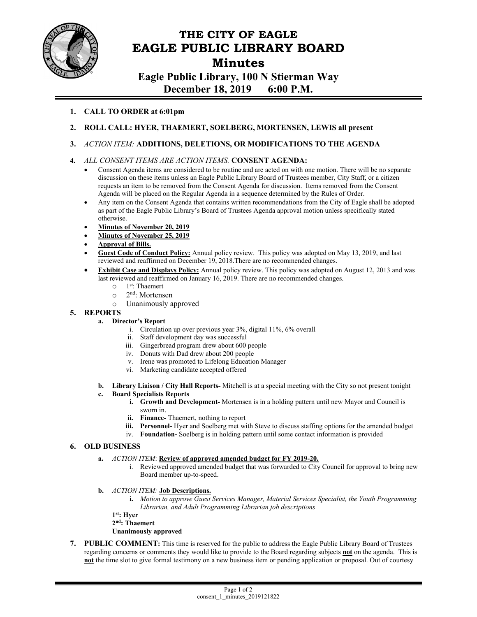

# **THE CITY OF EAGLE EAGLE PUBLIC LIBRARY BOARD Minutes**

**Eagle Public Library, 100 N Stierman Way December 18, 2019 6:00 P.M.** 

## **1. CALL TO ORDER at 6:01pm**

- **2. ROLL CALL: HYER, THAEMERT, SOELBERG, MORTENSEN, LEWIS all present**
- **3.** *ACTION ITEM:* **ADDITIONS, DELETIONS, OR MODIFICATIONS TO THE AGENDA**

### **4.** *ALL CONSENT ITEMS ARE ACTION ITEMS.* **CONSENT AGENDA:**

- Consent Agenda items are considered to be routine and are acted on with one motion. There will be no separate discussion on these items unless an Eagle Public Library Board of Trustees member, City Staff, or a citizen requests an item to be removed from the Consent Agenda for discussion. Items removed from the Consent Agenda will be placed on the Regular Agenda in a sequence determined by the Rules of Order.
- Any item on the Consent Agenda that contains written recommendations from the City of Eagle shall be adopted as part of the Eagle Public Library's Board of Trustees Agenda approval motion unless specifically stated otherwise.
- **Minutes of November 20, 2019**
- **Minutes of November 25, 2019**
- **Approval of Bills.**
- **Guest Code of Conduct Policy:** Annual policy review. This policy was adopted on May 13, 2019, and last reviewed and reaffirmed on December 19, 2018.There are no recommended changes.
- **Exhibit Case and Displays Policy:** Annual policy review. This policy was adopted on August 12, 2013 and was last reviewed and reaffirmed on January 16, 2019. There are no recommended changes.
	- $\circ$  1<sup>st</sup>: Thaemert
	- o 2nd: Mortensen
	- o Unanimously approved

### **5. REPORTS**

#### **a. Director's Report**

- i. Circulation up over previous year 3%, digital 11%, 6% overall
- ii. Staff development day was successful
- iii. Gingerbread program drew about 600 people
- iv. Donuts with Dad drew about 200 people
- v. Irene was promoted to Lifelong Education Manager
- vi. Marketing candidate accepted offered
- **b. Library Liaison / City Hall Reports-** Mitchell is at a special meeting with the City so not present tonight

#### **c. Board Specialists Reports**

- **i. Growth and Development-** Mortensen is in a holding pattern until new Mayor and Council is sworn in.
- **ii. Finance-** Thaemert, nothing to report
- **iii. Personnel-** Hyer and Soelberg met with Steve to discuss staffing options for the amended budget
- iv. **Foundation-** Soelberg is in holding pattern until some contact information is provided

#### **6. OLD BUSINESS**

- **a.** *ACTION ITEM*: **Review of approved amended budget for FY 2019-20.** 
	- i. Reviewed approved amended budget that was forwarded to City Council for approval to bring new Board member up-to-speed.

#### **b.** *ACTION ITEM:* **Job Descriptions.**

**i.** *Motion to approve Guest Services Manager, Material Services Specialist, the Youth Programming Librarian, and Adult Programming Librarian job descriptions*

 **1st: Hyer 2nd: Thaemert** 

 **Unanimously approved** 

**7. PUBLIC COMMENT:** This time is reserved for the public to address the Eagle Public Library Board of Trustees regarding concerns or comments they would like to provide to the Board regarding subjects **not** on the agenda. This is **not** the time slot to give formal testimony on a new business item or pending application or proposal. Out of courtesy